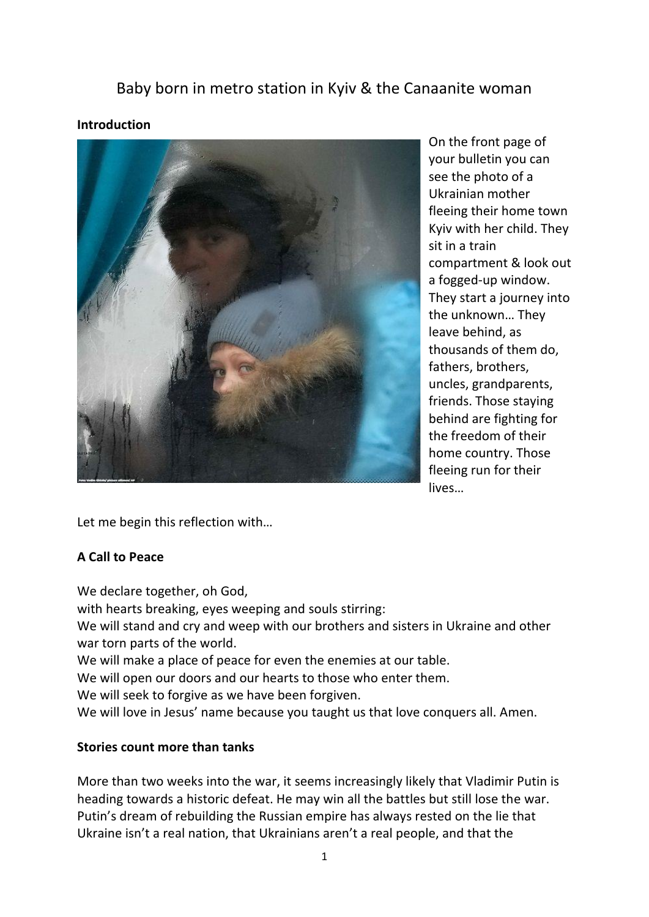# Baby born in metro station in Kyiv & the Canaanite woman

#### **Introduction**



On the front page of your bulletin you can see the photo of a Ukrainian mother fleeing their home town Kyiv with her child. They sit in a train compartment & look out a fogged-up window. They start a journey into the unknown… They leave behind, as thousands of them do, fathers, brothers, uncles, grandparents, friends. Those staying behind are fighting for the freedom of their home country. Those fleeing run for their lives…

Let me begin this reflection with…

### **A Call to Peace**

We declare together, oh God,

with hearts breaking, eyes weeping and souls stirring:

We will stand and cry and weep with our brothers and sisters in Ukraine and other war torn parts of the world.

We will make a place of peace for even the enemies at our table.

We will open our doors and our hearts to those who enter them.

We will seek to forgive as we have been forgiven.

We will love in Jesus' name because you taught us that love conquers all. Amen.

### **Stories count more than tanks**

More than two weeks into the war, it seems increasingly likely that [Vladimir Putin](https://www.theguardian.com/world/vladimir-putin) is heading towards a historic defeat. He may win all the battles but still lose the war. Putin's dream of rebuilding the Russian empire has always rested on the lie that Ukraine isn't a real nation, that Ukrainians aren't a real people, and that the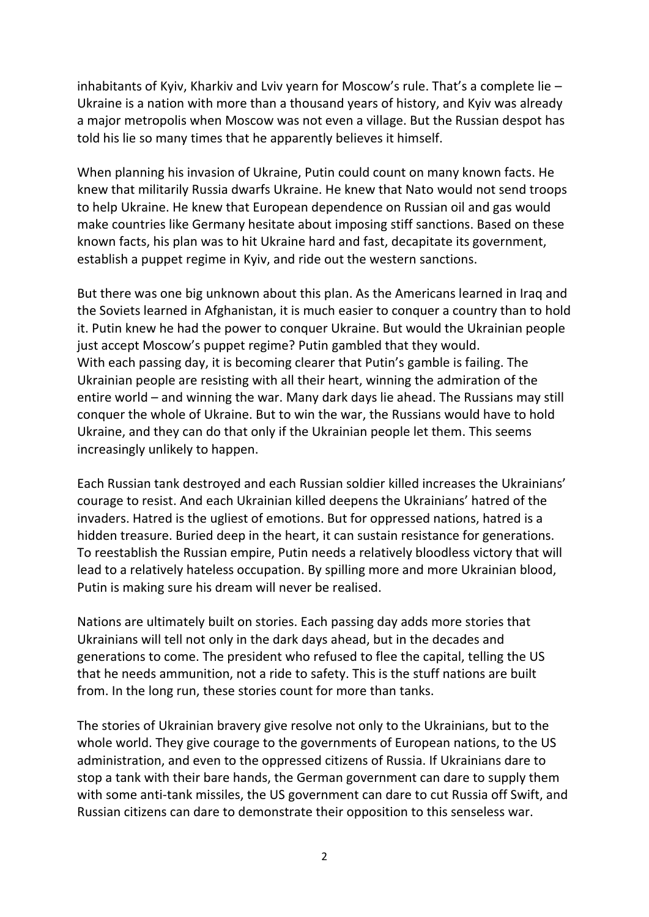inhabitants of Kyiv, Kharkiv and Lviv yearn for Moscow's rule. That's a complete lie – Ukraine is a nation with more than a thousand years of history, and Kyiv was already a major metropolis when Moscow was not even a village. But the Russian despot has told his lie so many times that he apparently believes it himself.

When planning his invasion of Ukraine, Putin could count on many known facts. He knew that militarily Russia dwarfs Ukraine. He knew that Nato [would not send troops](https://www.theguardian.com/world/2022/feb/24/russia-invading-ukraine-putin-nato-what-can-west-do) to help Ukraine. He knew that European dependence on Russian oil and gas would make countries like Germany hesitate about imposing stiff sanctions. Based on these known facts, his plan was to hit Ukraine hard and fast, decapitate its government, establish a puppet regime in Kyiv, and ride out the western sanctions.

But there was one big unknown about this plan. As the Americans learned in Iraq and the Soviets learned in Afghanistan, it is much easier to conquer a country than to hold it. Putin knew he had the power to conquer Ukraine. But would the Ukrainian people just accept Moscow's puppet regime? Putin gambled that they would. With each passing day, it is becoming clearer that Putin's gamble is failing. The Ukrainian people are [resisting with all their heart,](https://www.theguardian.com/world/video/2022/feb/27/ukrainian-resistance-man-climbs-on-to-russian-tank-then-kneels-before-it-video) winning the admiration of the entire world – and winning the war. Many dark days lie ahead. The Russians may still conquer the whole of Ukraine. But to win the war, the Russians would have to hold Ukraine, and they can do that only if the Ukrainian people let them. This seems increasingly unlikely to happen.

Each Russian tank destroyed and each Russian soldier killed increases the Ukrainians' courage to resist. And each Ukrainian killed deepens the Ukrainians' hatred of the invaders. Hatred is the ugliest of emotions. But for oppressed nations, hatred is a hidden treasure. Buried deep in the heart, it can sustain resistance for generations. To reestablish the Russian empire, Putin needs a relatively bloodless victory that will lead to a relatively hateless occupation. By spilling more and more Ukrainian blood, Putin is making sure his dream will never be realised.

Nations are ultimately built on stories. Each passing day adds more stories that Ukrainians will tell not only in the dark days ahead, but in the decades and generations to come. The president who refused to flee the capital, telling the US that he [needs ammunition, not a ride](https://www.youtube.com/watch?v=w9JVlYj2DX8) to safety. This is the stuff nations are built from. In the long run, these stories count for more than tanks.

The stories of Ukrainian bravery give resolve not only to the Ukrainians, but to the whole world. They give courage to the governments of European nations, to the US administration, and even to the oppressed citizens of Russia. If Ukrainians dare to stop a tank with their bare hands, the German government can dare to supply them with some anti-tank missiles, the US government can dare to [cut Russia off Swift,](https://www.theguardian.com/world/2022/feb/26/us-uk-europe-and-canada-to-block-russian-access-to-swift) and Russian citizens can dare to demonstrate their opposition to this senseless war.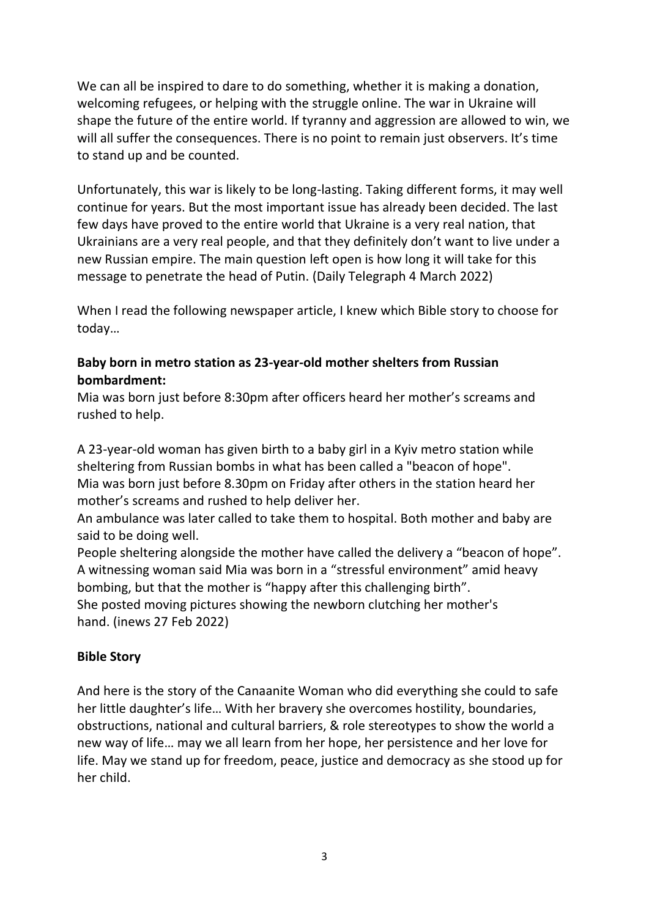We can all be inspired to dare to do something, whether it is making a donation, welcoming refugees, or helping with the struggle online. The war in [Ukraine](https://www.theguardian.com/world/ukraine) will shape the future of the entire world. If tyranny and aggression are allowed to win, we will all suffer the consequences. There is no point to remain just observers. It's time to stand up and be counted.

Unfortunately, this war is likely to be long-lasting. Taking different forms, it may well continue for years. But the most important issue has already been decided. The last few days have proved to the entire world that Ukraine is a very real nation, that Ukrainians are a very real people, and that they definitely don't want to live under a new Russian empire. The main question left open is how long it will take for this message to penetrate the head of Putin. (Daily Telegraph 4 March 2022)

When I read the following newspaper article, I knew which Bible story to choose for today…

## **Baby born in metro station as 23-year-old mother shelters from Russian bombardment:**

Mia was born just before 8:30pm after officers heard her mother's screams and rushed to help.

A 23-year-old woman has given birth to a baby girl in a Kyiv metro station while sheltering from Russian bombs in what has been called a "beacon of hope". Mia was born just before 8.30pm on Friday after others in the station heard her mother's screams and rushed to help deliver her.

An ambulance was later called to take them to hospital. Both mother and baby are said to be doing well.

People sheltering alongside the mother have called the delivery a "beacon of hope". A witnessing woman said Mia was born in a "stressful environment" amid heavy bombing, but that the mother is "happy after this challenging birth". She posted moving pictures showing the newborn clutching her mother's

hand. (inews 27 Feb 2022)

## **Bible Story**

And here is the story of the Canaanite Woman who did everything she could to safe her little daughter's life… With her bravery she overcomes hostility, boundaries, obstructions, national and cultural barriers, & role stereotypes to show the world a new way of life… may we all learn from her hope, her persistence and her love for life. May we stand up for freedom, peace, justice and democracy as she stood up for her child.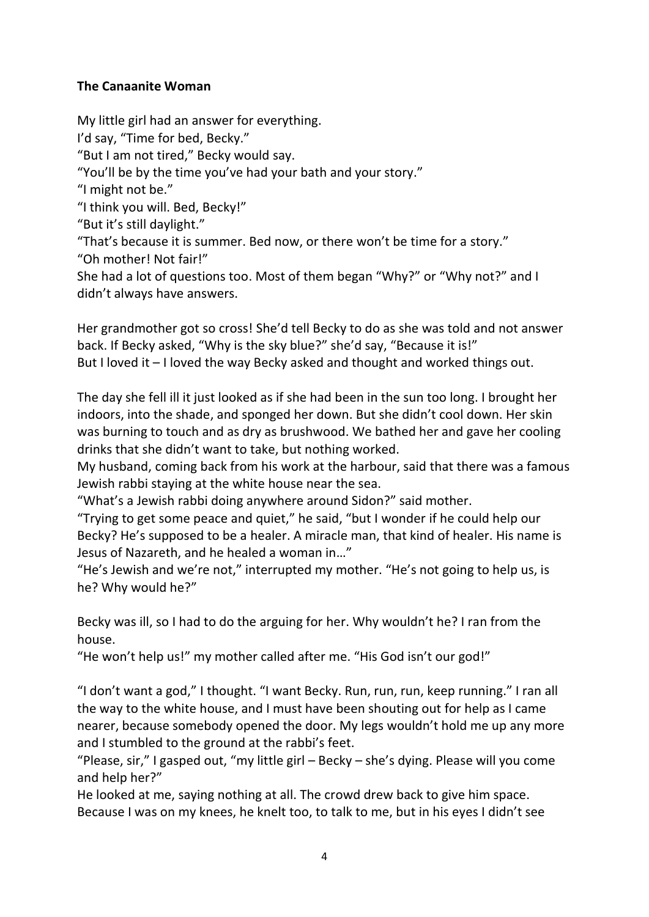## **The Canaanite Woman**

My little girl had an answer for everything. I'd say, "Time for bed, Becky." "But I am not tired," Becky would say. "You'll be by the time you've had your bath and your story." "I might not be." "I think you will. Bed, Becky!" "But it's still daylight." "That's because it is summer. Bed now, or there won't be time for a story." "Oh mother! Not fair!" She had a lot of questions too. Most of them began "Why?" or "Why not?" and I didn't always have answers.

Her grandmother got so cross! She'd tell Becky to do as she was told and not answer back. If Becky asked, "Why is the sky blue?" she'd say, "Because it is!" But I loved it – I loved the way Becky asked and thought and worked things out.

The day she fell ill it just looked as if she had been in the sun too long. I brought her indoors, into the shade, and sponged her down. But she didn't cool down. Her skin was burning to touch and as dry as brushwood. We bathed her and gave her cooling drinks that she didn't want to take, but nothing worked.

My husband, coming back from his work at the harbour, said that there was a famous Jewish rabbi staying at the white house near the sea.

"What's a Jewish rabbi doing anywhere around Sidon?" said mother.

"Trying to get some peace and quiet," he said, "but I wonder if he could help our Becky? He's supposed to be a healer. A miracle man, that kind of healer. His name is Jesus of Nazareth, and he healed a woman in…"

"He's Jewish and we're not," interrupted my mother. "He's not going to help us, is he? Why would he?"

Becky was ill, so I had to do the arguing for her. Why wouldn't he? I ran from the house.

"He won't help us!" my mother called after me. "His God isn't our god!"

"I don't want a god," I thought. "I want Becky. Run, run, run, keep running." I ran all the way to the white house, and I must have been shouting out for help as I came nearer, because somebody opened the door. My legs wouldn't hold me up any more and I stumbled to the ground at the rabbi's feet.

"Please, sir," I gasped out, "my little girl – Becky – she's dying. Please will you come and help her?"

He looked at me, saying nothing at all. The crowd drew back to give him space. Because I was on my knees, he knelt too, to talk to me, but in his eyes I didn't see